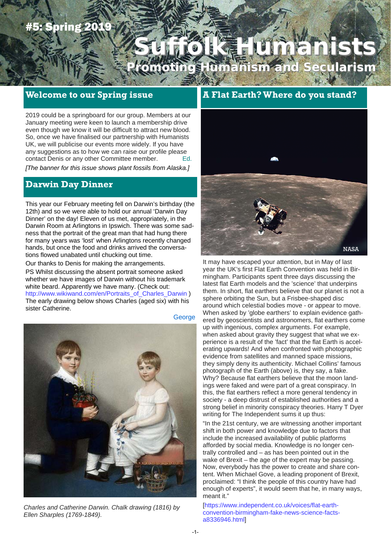# **Spring 201**

# **Suffolk Humanists Suffolk Humanists Promoting Humanism and Secularism**

# **Welcome to our Spring issue**

2019 could be a springboard for our group. Members at our January meeting were keen to launch a membership drive even though we know it will be difficult to attract new blood. So, once we have finalised our partnership with Humanists UK, we will publicise our events more widely. If you have any suggestions as to how we can raise our profile please contact Denis or any other Committee member. Ed.

*[The banner for this issue shows plant fossils from Alaska.]* 

# **Darwin Day Dinner**

This year our February meeting fell on Darwin's birthday (the 12th) and so we were able to hold our annual 'Darwin Day Dinner' on the day! Eleven of us met, appropriately, in the Darwin Room at Arlingtons in Ipswich. There was some sadness that the portrait of the great man that had hung there for many years was 'lost' when Arlingtons recently changed hands, but once the food and drinks arrived the conversations flowed unabated until chucking out time.

Our thanks to Denis for making the arrangements. PS Whilst discussing the absent portrait someone asked whether we have images of Darwin without his trademark white beard. Apparently we have many. (Check out: http://www.wikiwand.com/en/Portraits\_of\_Charles\_Darwin ) The early drawing below shows Charles (aged six) with his sister Catherine. **George** 



*Charles and Catherine Darwin. Chalk drawing (1816) by Ellen Sharples (1769-1849).* 

# **A Flat Earth? Where do you stand?**



It may have escaped your attention, but in May of last year the UK's first Flat Earth Convention was held in Birmingham. Participants spent three days discussing the latest flat Earth models and the 'science' that underpins them. In short, flat earthers believe that our planet is not a sphere orbiting the Sun, but a Frisbee-shaped disc around which celestial bodies move - or appear to move. When asked by 'globe earthers' to explain evidence gathered by geoscientists and astronomers, flat earthers come up with ingenious, complex arguments. For example, when asked about gravity they suggest that what we experience is a result of the 'fact' that the flat Earth is accelerating upwards! And when confronted with photographic evidence from satellites and manned space missions, they simply deny its authenticity. Michael Collins' famous photograph of the Earth (above) is, they say, a fake. Why? Because flat earthers believe that the moon landings were faked and were part of a great conspiracy. In this, the flat earthers reflect a more general tendency in society - a deep distrust of established authorities and a strong belief in minority conspiracy theories. Harry T Dyer writing for The Independent sums it up thus:

"In the 21st century, we are witnessing another important shift in both power and knowledge due to factors that include the increased availability of public platforms afforded by social media. Knowledge is no longer centrally controlled and – as has been pointed out in the wake of Brexit – the age of the expert may be passing. Now, everybody has the power to create and share content. When Michael Gove, a leading proponent of Brexit, proclaimed: "I think the people of this country have had enough of experts", it would seem that he, in many ways, meant it."

[https://www.independent.co.uk/voices/flat-earthconvention-birmingham-fake-news-science-factsa8336946.html]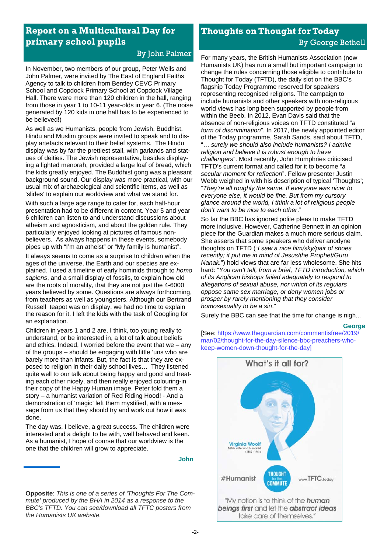# **Report on a Multicultural Day for primary school pupils**

In November, two members of our group, Peter Wells and John Palmer, were invited by The East of England Faiths Agency to talk to children from Bentley CEVC Primary School and Copdock Primary School at Copdock Village Hall. There were more than 120 children in the hall, ranging from those in year 1 to 10-11 year-olds in year 6. (The noise generated by 120 kids in one hall has to be experienced to be believed!)

As well as we Humanists, people from Jewish, Buddhist, Hindu and Muslim groups were invited to speak and to display artefacts relevant to their belief systems. The Hindu display was by far the prettiest stall, with garlands and statues of deities. The Jewish representative, besides displaying a lighted menorah, provided a large loaf of bread, which the kids greatly enjoyed. The Buddhist gong was a pleasant background sound. Our display was more practical, with our usual mix of archaeological and scientific items, as well as 'slides' to explain our worldview and what we stand for.

With such a large age range to cater for, each half-hour presentation had to be different in content. Year 5 and year 6 children can listen to and understand discussions about atheism and agnosticism, and about the golden rule. They particularly enjoyed looking at pictures of famous nonbelievers. As always happens in these events, somebody pipes up with "I'm an atheist" or "My family is humanist".

It always seems to come as a surprise to children when the ages of the universe, the Earth and our species are explained. I used a timeline of early hominids through to *homo sapiens*, and a small display of fossils, to explain how old are the roots of morality, that they are not just the 4-6000 years believed by some. Questions are always forthcoming, from teachers as well as youngsters. Although our Bertrand Russell teapot was on display, we had no time to explain the reason for it. I left the kids with the task of Googling for an explanation.

Children in years 1 and 2 are, I think, too young really to understand, or be interested in, a lot of talk about beliefs and ethics. Indeed, I worried before the event that we – any of the groups – should be engaging with little 'uns who are barely more than infants. But, the fact is that they are exposed to religion in their daily school lives… They listened quite well to our talk about being happy and good and treating each other nicely, and then really enjoyed colouring-in their copy of the Happy Human image. Peter told them a story – a humanist variation of Red Riding Hood! - And a demonstration of 'magic' left them mystified, with a message from us that they should try and work out how it was done.

The day was, I believe, a great success. The children were interested and a delight to be with, well behaved and keen. As a humanist, I hope of course that our worldview is the one that the children will grow to appreciate.

#### **John**

# **Thoughts on Thought for Today** By George Bethell

By John Palmer For many years, the British Humanists Association (now Humanists UK) has run a small but important campaign to change the rules concerning those eligible to contribute to Thought for Today (TFTD), the daily slot on the BBC's flagship Today Programme reserved for speakers representing recognised religions. The campaign to include humanists and other speakers with non-religious world views has long been supported by people from within the Beeb. In 2012, Evan Davis said that the absence of non-religious voices on TFTD constituted "*a form of discrimination*". In 2017, the newly appointed editor of the Today programme, Sarah Sands, said about TFTD, "… *surely we should also include humanists? I admire religion and believe it is robust enough to have challengers*". Most recently, John Humphries criticised TFTD's current format and called for it to become "*a secular moment for reflection*". Fellow presenter Justin Webb weighed in with his description of typical 'Thoughts'; "*They're all roughly the same. If everyone was nicer to everyone else, it would be fine. But from my cursory glance around the world, I think a lot of religious people don't want to be nice to each other*."

> So far the BBC has ignored polite pleas to make TFTD more inclusive. However, Catherine Bennett in an opinion piece for the Guardian makes a much more serious claim. She asserts that some speakers who deliver anodyne thoughts on TFTD ("*I saw a nice film/sky/pair of shoes recently; it put me in mind of Jesus/the Prophet/Guru Nanak.*") hold views that are far less wholesome. She hits hard: "*You can't tell, from a brief, TFTD introduction, which of its Anglican bishops failed adequately to respond to allegations of sexual abuse, nor which of its regulars oppose same sex marriage, or deny women jobs or prosper by rarely mentioning that they consider homosexuality to be a sin*."

Surely the BBC can see that the time for change is nigh...

#### **George**

[See: https://www.theguardian.com/commentisfree/2019/ mar/02/thought-for-the-day-silence-bbc-preachers-whokeep-women-down-thought-for-the-day]



**Opposite**: *This is one of a series of 'Thoughts For The Commute' produced by the BHA in 2014 as a response to the BBC's TFTD. You can see/download all TFTC posters from the Humanists UK website.*